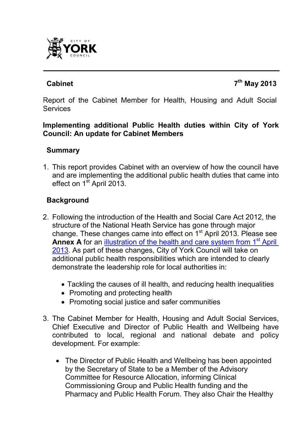

## **Cabinet 7**

**th May 2013**

Report of the Cabinet Member for Health, Housing and Adult Social **Services** 

#### **Implementing additional Public Health duties within City of York Council: An update for Cabinet Members**

### **Summary**

1. This report provides Cabinet with an overview of how the council have and are implementing the additional public health duties that came into effect on  $1<sup>st</sup>$  April 2013.

## **Background**

- 2. Following the introduction of the Health and Social Care Act 2012, the structure of the National Heath Service has gone through major change. These changes came into effect on  $1<sup>st</sup>$  April 2013. Please see **Annex A** for an illustration of the health and care system from 1<sup>st</sup> April 2013. As part of these changes, City of York Council will take on additional public health responsibilities which are intended to clearly demonstrate the leadership role for local authorities in:
	- Tackling the causes of ill health, and reducing health inequalities
	- Promoting and protecting health
	- Promoting social justice and safer communities
- 3. The Cabinet Member for Health, Housing and Adult Social Services, Chief Executive and Director of Public Health and Wellbeing have contributed to local, regional and national debate and policy development. For example:
	- The Director of Public Health and Wellbeing has been appointed by the Secretary of State to be a Member of the Advisory Committee for Resource Allocation, informing Clinical Commissioning Group and Public Health funding and the Pharmacy and Public Health Forum. They also Chair the Healthy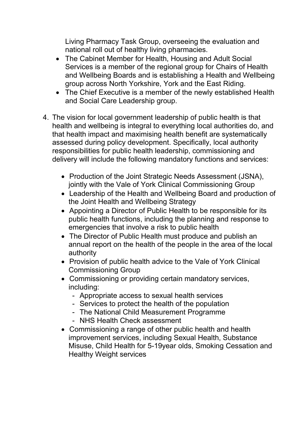Living Pharmacy Task Group, overseeing the evaluation and national roll out of healthy living pharmacies.

- The Cabinet Member for Health, Housing and Adult Social Services is a member of the regional group for Chairs of Health and Wellbeing Boards and is establishing a Health and Wellbeing group across North Yorkshire, York and the East Riding.
- The Chief Executive is a member of the newly established Health and Social Care Leadership group.
- 4. The vision for local government leadership of public health is that health and wellbeing is integral to everything local authorities do, and that health impact and maximising health benefit are systematically assessed during policy development. Specifically, local authority responsibilities for public health leadership, commissioning and delivery will include the following mandatory functions and services:
	- Production of the Joint Strategic Needs Assessment (JSNA), jointly with the Vale of York Clinical Commissioning Group
	- Leadership of the Health and Wellbeing Board and production of the Joint Health and Wellbeing Strategy
	- Appointing a Director of Public Health to be responsible for its public health functions, including the planning and response to emergencies that involve a risk to public health
	- The Director of Public Health must produce and publish an annual report on the health of the people in the area of the local authority
	- Provision of public health advice to the Vale of York Clinical Commissioning Group
	- Commissioning or providing certain mandatory services, including:
		- Appropriate access to sexual health services
		- Services to protect the health of the population
		- The National Child Measurement Programme
		- NHS Health Check assessment
	- Commissioning a range of other public health and health improvement services, including Sexual Health, Substance Misuse, Child Health for 5-19year olds, Smoking Cessation and Healthy Weight services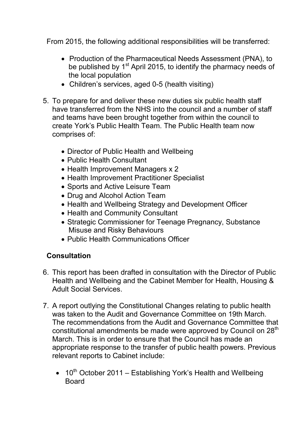From 2015, the following additional responsibilities will be transferred:

- Production of the Pharmaceutical Needs Assessment (PNA), to be published by  $1<sup>st</sup>$  April 2015, to identify the pharmacy needs of the local population
- Children's services, aged 0-5 (health visiting)
- 5. To prepare for and deliver these new duties six public health staff have transferred from the NHS into the council and a number of staff and teams have been brought together from within the council to create York's Public Health Team. The Public Health team now comprises of:
	- Director of Public Health and Wellbeing
	- Public Health Consultant
	- Health Improvement Managers x 2
	- Health Improvement Practitioner Specialist
	- Sports and Active Leisure Team
	- Drug and Alcohol Action Team
	- Health and Wellbeing Strategy and Development Officer
	- Health and Community Consultant
	- Strategic Commissioner for Teenage Pregnancy, Substance Misuse and Risky Behaviours
	- Public Health Communications Officer

# **Consultation**

- 6. This report has been drafted in consultation with the Director of Public Health and Wellbeing and the Cabinet Member for Health, Housing & Adult Social Services.
- 7. A report outlying the Constitutional Changes relating to public health was taken to the Audit and Governance Committee on 19th March. The recommendations from the Audit and Governance Committee that constitutional amendments be made were approved by Council on 28<sup>th</sup> March. This is in order to ensure that the Council has made an appropriate response to the transfer of public health powers. Previous relevant reports to Cabinet include:
	- $10^{th}$  October 2011 Establishing York's Health and Wellbeing **Board**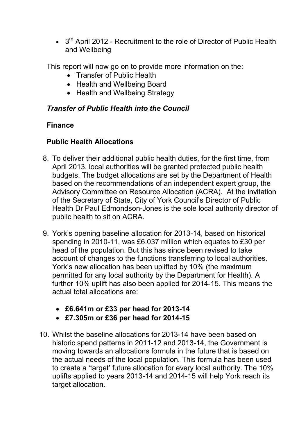$\bullet$  3<sup>rd</sup> April 2012 - Recruitment to the role of Director of Public Health and Wellbeing

This report will now go on to provide more information on the:

- Transfer of Public Health
- Health and Wellbeing Board
- Health and Wellbeing Strategy

## *Transfer of Public Health into the Council*

## **Finance**

# **Public Health Allocations**

- 8. To deliver their additional public health duties, for the first time, from April 2013, local authorities will be granted protected public health budgets. The budget allocations are set by the Department of Health based on the recommendations of an independent expert group, the Advisory Committee on Resource Allocation (ACRA). At the invitation of the Secretary of State, City of York Council's Director of Public Health Dr Paul Edmondson-Jones is the sole local authority director of public health to sit on ACRA.
- 9. York's opening baseline allocation for 2013-14, based on historical spending in 2010-11, was £6.037 million which equates to £30 per head of the population. But this has since been revised to take account of changes to the functions transferring to local authorities. York's new allocation has been uplifted by 10% (the maximum permitted for any local authority by the Department for Health). A further 10% uplift has also been applied for 2014-15. This means the actual total allocations are:
	- **£6.641m or £33 per head for 2013-14**
	- **£7.305m or £36 per head for 2014-15**
- 10. Whilst the baseline allocations for 2013-14 have been based on historic spend patterns in 2011-12 and 2013-14, the Government is moving towards an allocations formula in the future that is based on the actual needs of the local population. This formula has been used to create a 'target' future allocation for every local authority. The 10% uplifts applied to years 2013-14 and 2014-15 will help York reach its target allocation.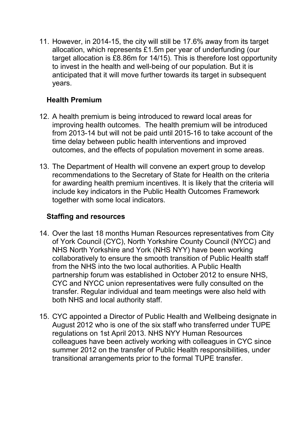11. However, in 2014-15, the city will still be 17.6% away from its target allocation, which represents £1.5m per year of underfunding (our target allocation is £8.86m for 14/15). This is therefore lost opportunity to invest in the health and well-being of our population. But it is anticipated that it will move further towards its target in subsequent years.

## **Health Premium**

- 12. A health premium is being introduced to reward local areas for improving health outcomes. The health premium will be introduced from 2013-14 but will not be paid until 2015-16 to take account of the time delay between public health interventions and improved outcomes, and the effects of population movement in some areas.
- 13. The Department of Health will convene an expert group to develop recommendations to the Secretary of State for Health on the criteria for awarding health premium incentives. It is likely that the criteria will include key indicators in the Public Health Outcomes Framework together with some local indicators.

# **Staffing and resources**

- 14. Over the last 18 months Human Resources representatives from City of York Council (CYC), North Yorkshire County Council (NYCC) and NHS North Yorkshire and York (NHS NYY) have been working collaboratively to ensure the smooth transition of Public Health staff from the NHS into the two local authorities. A Public Health partnership forum was established in October 2012 to ensure NHS, CYC and NYCC union representatives were fully consulted on the transfer. Regular individual and team meetings were also held with both NHS and local authority staff.
- 15. CYC appointed a Director of Public Health and Wellbeing designate in August 2012 who is one of the six staff who transferred under TUPE regulations on 1st April 2013. NHS NYY Human Resources colleagues have been actively working with colleagues in CYC since summer 2012 on the transfer of Public Health responsibilities, under transitional arrangements prior to the formal TUPE transfer.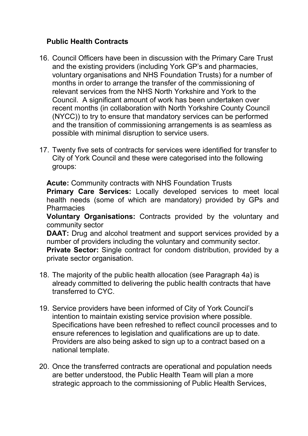## **Public Health Contracts**

- 16. Council Officers have been in discussion with the Primary Care Trust and the existing providers (including York GP's and pharmacies, voluntary organisations and NHS Foundation Trusts) for a number of months in order to arrange the transfer of the commissioning of relevant services from the NHS North Yorkshire and York to the Council. A significant amount of work has been undertaken over recent months (in collaboration with North Yorkshire County Council (NYCC)) to try to ensure that mandatory services can be performed and the transition of commissioning arrangements is as seamless as possible with minimal disruption to service users.
- 17. Twenty five sets of contracts for services were identified for transfer to City of York Council and these were categorised into the following groups:

**Acute:** Community contracts with NHS Foundation Trusts **Primary Care Services:** Locally developed services to meet local health needs (some of which are mandatory) provided by GPs and **Pharmacies** 

**Voluntary Organisations:** Contracts provided by the voluntary and community sector

**DAAT:** Drug and alcohol treatment and support services provided by a number of providers including the voluntary and community sector. **Private Sector:** Single contract for condom distribution, provided by a private sector organisation.

- 18. The majority of the public health allocation (see Paragraph 4a) is already committed to delivering the public health contracts that have transferred to CYC.
- 19. Service providers have been informed of City of York Council's intention to maintain existing service provision where possible. Specifications have been refreshed to reflect council processes and to ensure references to legislation and qualifications are up to date. Providers are also being asked to sign up to a contract based on a national template.
- 20. Once the transferred contracts are operational and population needs are better understood, the Public Health Team will plan a more strategic approach to the commissioning of Public Health Services,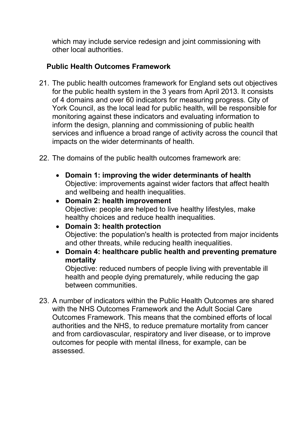which may include service redesign and joint commissioning with other local authorities.

## **Public Health Outcomes Framework**

- 21. The public health outcomes framework for England sets out objectives for the public health system in the 3 years from April 2013. It consists of 4 domains and over 60 indicators for measuring progress. City of York Council, as the local lead for public health, will be responsible for monitoring against these indicators and evaluating information to inform the design, planning and commissioning of public health services and influence a broad range of activity across the council that impacts on the wider determinants of health.
- 22. The domains of the public health outcomes framework are:
	- **Domain 1: improving the wider determinants of health** Objective: improvements against wider factors that affect health and wellbeing and health inequalities.
	- **Domain 2: health improvement** Objective: people are helped to live healthy lifestyles, make healthy choices and reduce health inequalities.
	- **Domain 3: health protection** Objective: the population's health is protected from major incidents and other threats, while reducing health inequalities.
	- **Domain 4: healthcare public health and preventing premature mortality**

Objective: reduced numbers of people living with preventable ill health and people dying prematurely, while reducing the gap between communities.

23. A number of indicators within the Public Health Outcomes are shared with the NHS Outcomes Framework and the Adult Social Care Outcomes Framework. This means that the combined efforts of local authorities and the NHS, to reduce premature mortality from cancer and from cardiovascular, respiratory and liver disease, or to improve outcomes for people with mental illness, for example, can be assessed.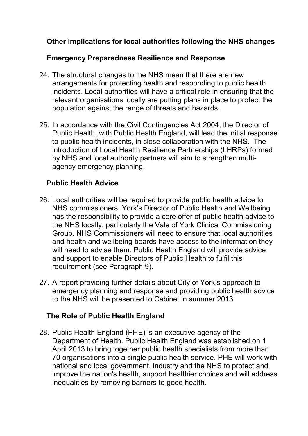## **Other implications for local authorities following the NHS changes**

#### **Emergency Preparedness Resilience and Response**

- 24. The structural changes to the NHS mean that there are new arrangements for protecting health and responding to public health incidents. Local authorities will have a critical role in ensuring that the relevant organisations locally are putting plans in place to protect the population against the range of threats and hazards.
- 25. In accordance with the Civil Contingencies Act 2004, the Director of Public Health, with Public Health England, will lead the initial response to public health incidents, in close collaboration with the NHS. The introduction of Local Health Resilience Partnerships (LHRPs) formed by NHS and local authority partners will aim to strengthen multiagency emergency planning.

## **Public Health Advice**

- 26. Local authorities will be required to provide public health advice to NHS commissioners. York's Director of Public Health and Wellbeing has the responsibility to provide a core offer of public health advice to the NHS locally, particularly the Vale of York Clinical Commissioning Group. NHS Commissioners will need to ensure that local authorities and health and wellbeing boards have access to the information they will need to advise them. Public Health England will provide advice and support to enable Directors of Public Health to fulfil this requirement (see Paragraph 9).
- 27. A report providing further details about City of York's approach to emergency planning and response and providing public health advice to the NHS will be presented to Cabinet in summer 2013.

# **The Role of Public Health England**

28. Public Health England (PHE) is an executive agency of the Department of Health. Public Health England was established on 1 April 2013 to bring together public health specialists from more than 70 organisations into a single public health service. PHE will work with national and local government, industry and the NHS to protect and improve the nation's health, support healthier choices and will address inequalities by removing barriers to good health.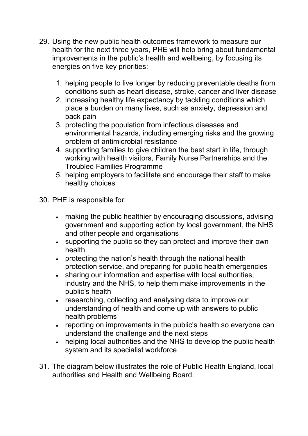- 29. Using the new public health outcomes framework to measure our health for the next three years, PHE will help bring about fundamental improvements in the public's health and wellbeing, by focusing its energies on five key priorities:
	- 1. helping people to live longer by reducing preventable deaths from conditions such as heart disease, stroke, cancer and liver disease
	- 2. increasing healthy life expectancy by tackling conditions which place a burden on many lives, such as anxiety, depression and back pain
	- 3. protecting the population from infectious diseases and environmental hazards, including emerging risks and the growing problem of antimicrobial resistance
	- 4. supporting families to give children the best start in life, through working with health visitors, Family Nurse Partnerships and the Troubled Families Programme
	- 5. helping employers to facilitate and encourage their staff to make healthy choices
- 30. PHE is responsible for:
	- making the public healthier by encouraging discussions, advising government and supporting action by local government, the NHS and other people and organisations
	- supporting the public so they can protect and improve their own health
	- protecting the nation's health through the national health protection service, and preparing for public health emergencies
	- sharing our information and expertise with local authorities, industry and the NHS, to help them make improvements in the public's health
	- researching, collecting and analysing data to improve our understanding of health and come up with answers to public health problems
	- reporting on improvements in the public's health so everyone can understand the challenge and the next steps
	- helping local authorities and the NHS to develop the public health system and its specialist workforce
- 31. The diagram below illustrates the role of Public Health England, local authorities and Health and Wellbeing Board.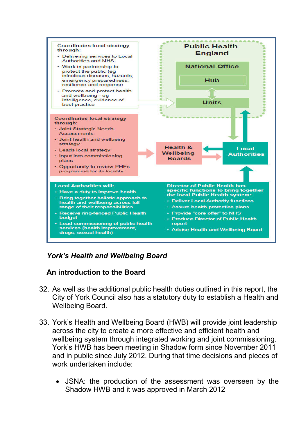

## *York's Health and Wellbeing Board*

#### **An introduction to the Board**

- 32. As well as the additional public health duties outlined in this report, the City of York Council also has a statutory duty to establish a Health and Wellbeing Board.
- 33. York's Health and Wellbeing Board (HWB) will provide joint leadership across the city to create a more effective and efficient health and wellbeing system through integrated working and joint commissioning. York's HWB has been meeting in Shadow form since November 2011 and in public since July 2012. During that time decisions and pieces of work undertaken include:
	- JSNA: the production of the assessment was overseen by the Shadow HWB and it was approved in March 2012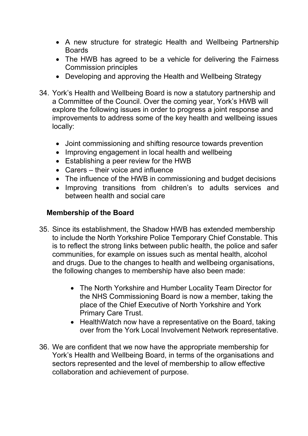- A new structure for strategic Health and Wellbeing Partnership Boards
- The HWB has agreed to be a vehicle for delivering the Fairness Commission principles
- Developing and approving the Health and Wellbeing Strategy
- 34. York's Health and Wellbeing Board is now a statutory partnership and a Committee of the Council. Over the coming year, York's HWB will explore the following issues in order to progress a joint response and improvements to address some of the key health and wellbeing issues locally:
	- Joint commissioning and shifting resource towards prevention
	- Improving engagement in local health and wellbeing
	- Establishing a peer review for the HWB
	- Carers their voice and influence
	- The influence of the HWB in commissioning and budget decisions
	- Improving transitions from children's to adults services and between health and social care

### **Membership of the Board**

- 35. Since its establishment, the Shadow HWB has extended membership to include the North Yorkshire Police Temporary Chief Constable. This is to reflect the strong links between public health, the police and safer communities, for example on issues such as mental health, alcohol and drugs. Due to the changes to health and wellbeing organisations, the following changes to membership have also been made:
	- The North Yorkshire and Humber Locality Team Director for the NHS Commissioning Board is now a member, taking the place of the Chief Executive of North Yorkshire and York Primary Care Trust.
	- HealthWatch now have a representative on the Board, taking over from the York Local Involvement Network representative.
- 36. We are confident that we now have the appropriate membership for York's Health and Wellbeing Board, in terms of the organisations and sectors represented and the level of membership to allow effective collaboration and achievement of purpose.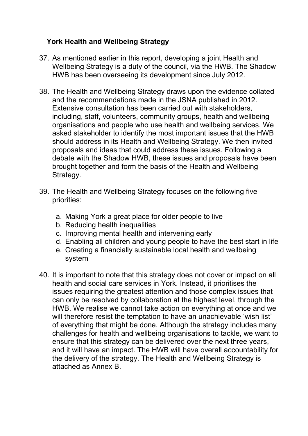## **York Health and Wellbeing Strategy**

- 37. As mentioned earlier in this report, developing a joint Health and Wellbeing Strategy is a duty of the council, via the HWB. The Shadow HWB has been overseeing its development since July 2012.
- 38. The Health and Wellbeing Strategy draws upon the evidence collated and the recommendations made in the JSNA published in 2012. Extensive consultation has been carried out with stakeholders, including, staff, volunteers, community groups, health and wellbeing organisations and people who use health and wellbeing services. We asked stakeholder to identify the most important issues that the HWB should address in its Health and Wellbeing Strategy. We then invited proposals and ideas that could address these issues. Following a debate with the Shadow HWB, these issues and proposals have been brought together and form the basis of the Health and Wellbeing Strategy.
- 39. The Health and Wellbeing Strategy focuses on the following five priorities:
	- a. Making York a great place for older people to live
	- b. Reducing health inequalities
	- c. Improving mental health and intervening early
	- d. Enabling all children and young people to have the best start in life
	- e. Creating a financially sustainable local health and wellbeing system
- 40. It is important to note that this strategy does not cover or impact on all health and social care services in York. Instead, it prioritises the issues requiring the greatest attention and those complex issues that can only be resolved by collaboration at the highest level, through the HWB. We realise we cannot take action on everything at once and we will therefore resist the temptation to have an unachievable 'wish list' of everything that might be done. Although the strategy includes many challenges for health and wellbeing organisations to tackle, we want to ensure that this strategy can be delivered over the next three years, and it will have an impact. The HWB will have overall accountability for the delivery of the strategy. The Health and Wellbeing Strategy is attached as Annex B.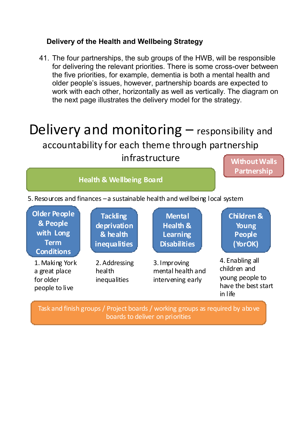#### **Delivery of the Health and Wellbeing Strategy**

41. The four partnerships, the sub groups of the HWB, will be responsible for delivering the relevant priorities. There is some cross-over between the five priorities, for example, dementia is both a mental health and older people's issues, however, partnership boards are expected to work with each other, horizontally as well as vertically. The diagram on the next page illustrates the delivery model for the strategy.

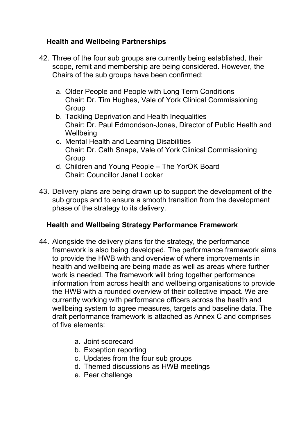## **Health and Wellbeing Partnerships**

- 42. Three of the four sub groups are currently being established, their scope, remit and membership are being considered. However, the Chairs of the sub groups have been confirmed:
	- a. Older People and People with Long Term Conditions Chair: Dr. Tim Hughes, Vale of York Clinical Commissioning Group
	- b. Tackling Deprivation and Health Inequalities Chair: Dr. Paul Edmondson-Jones, Director of Public Health and **Wellbeing**
	- c. Mental Health and Learning Disabilities Chair: Dr. Cath Snape, Vale of York Clinical Commissioning **Group**
	- d. Children and Young People The YorOK Board Chair: Councillor Janet Looker
- 43. Delivery plans are being drawn up to support the development of the sub groups and to ensure a smooth transition from the development phase of the strategy to its delivery.

# **Health and Wellbeing Strategy Performance Framework**

- 44. Alongside the delivery plans for the strategy, the performance framework is also being developed. The performance framework aims to provide the HWB with and overview of where improvements in health and wellbeing are being made as well as areas where further work is needed. The framework will bring together performance information from across health and wellbeing organisations to provide the HWB with a rounded overview of their collective impact. We are currently working with performance officers across the health and wellbeing system to agree measures, targets and baseline data. The draft performance framework is attached as Annex C and comprises of five elements:
	- a. Joint scorecard
	- b. Exception reporting
	- c. Updates from the four sub groups
	- d. Themed discussions as HWB meetings
	- e. Peer challenge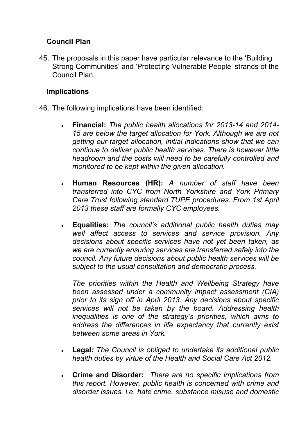## **Council Plan**

45. The proposals in this paper have particular relevance to the 'Building Strong Communities' and 'Protecting Vulnerable People' strands of the Council Plan.

#### **Implications**

- 46. The following implications have been identified:
	- **Financial:** *The public health allocations for 2013-14 and 2014- 15 are below the target allocation for York. Although we are not getting our target allocation, initial indications show that we can continue to deliver public health services. There is however little headroom and the costs will need to be carefully controlled and monitored to be kept within the given allocation.*
	- **Human Resources (HR):** *A number of staff have been transferred into CYC from North Yorkshire and York Primary Care Trust following standard TUPE procedures. From 1st April 2013 these staff are formally CYC employees.*
	- **Equalities:** *The council's additional public health duties may well affect access to services and service provision. Any decisions about specific services have not yet been taken, as we are currently ensuring services are transferred safely into the council. Any future decisions about public health services will be subject to the usual consultation and democratic process.*

*The priorities within the Health and Wellbeing Strategy have been assessed under a community impact assessment (CIA) prior to its sign off in April 2013. Any decisions about specific services will not be taken by the board. Addressing health inequalities is one of the strategy's priorities, which aims to address the differences in life expectancy that currently exist between some areas in York.* 

- **Legal***: The Council is obliged to undertake its additional public health duties by virtue of the Health and Social Care Act 2012.*
- **Crime and Disorder:** *There are no specific implications from this report. However, public health is concerned with crime and disorder issues, i.e. hate crime, substance misuse and domestic*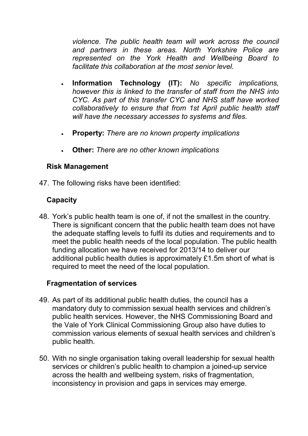*violence. The public health team will work across the council and partners in these areas. North Yorkshire Police are represented on the York Health and Wellbeing Board to facilitate this collaboration at the most senior level.* 

- **Information Technology (IT):** *No specific implications, however this is linked to the transfer of staff from the NHS into CYC. As part of this transfer CYC and NHS staff have worked collaboratively to ensure that from 1st April public health staff will have the necessary accesses to systems and files.*
- **Property:** *There are no known property implications*
- **Other:** *There are no other known implications*

#### **Risk Management**

47. The following risks have been identified:

### **Capacity**

48. York's public health team is one of, if not the smallest in the country. There is significant concern that the public health team does not have the adequate staffing levels to fulfil its duties and requirements and to meet the public health needs of the local population. The public health funding allocation we have received for 2013/14 to deliver our additional public health duties is approximately £1.5m short of what is required to meet the need of the local population.

#### **Fragmentation of services**

- 49. As part of its additional public health duties, the council has a mandatory duty to commission sexual health services and children's public health services. However, the NHS Commissioning Board and the Vale of York Clinical Commissioning Group also have duties to commission various elements of sexual health services and children's public health.
- 50. With no single organisation taking overall leadership for sexual health services or children's public health to champion a joined-up service across the health and wellbeing system, risks of fragmentation, inconsistency in provision and gaps in services may emerge.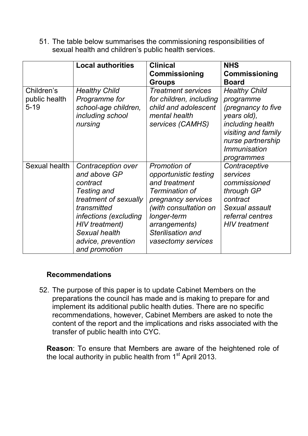51. The table below summarises the commissioning responsibilities of sexual health and children's public health services.

|                                         | <b>Local authorities</b>                                                                                                                                                                                        | <b>Clinical</b><br><b>Commissioning</b><br><b>Groups</b>                                                                                                                                           | <b>NHS</b><br>Commissioning<br><b>Board</b>                                                                                                                                        |
|-----------------------------------------|-----------------------------------------------------------------------------------------------------------------------------------------------------------------------------------------------------------------|----------------------------------------------------------------------------------------------------------------------------------------------------------------------------------------------------|------------------------------------------------------------------------------------------------------------------------------------------------------------------------------------|
| Children's<br>public health<br>$5 - 19$ | <b>Healthy Child</b><br>Programme for<br>school-age children,<br>including school<br>nursing                                                                                                                    | <b>Treatment services</b><br>for children, including<br>child and adolescent<br>mental health<br>services (CAMHS)                                                                                  | <b>Healthy Child</b><br>programme<br>(pregnancy to five<br>years old),<br>including health<br>visiting and family<br>nurse partnership<br><i><b>Immunisation</b></i><br>programmes |
| Sexual health                           | Contraception over<br>and above GP<br>contract<br><b>Testing and</b><br>treatment of sexually<br>transmitted<br>infections (excluding<br>HIV treatment)<br>Sexual health<br>advice, prevention<br>and promotion | Promotion of<br>opportunistic testing<br>and treatment<br>Termination of<br>pregnancy services<br>(with consultation on<br>longer-term<br>arrangements)<br>Sterilisation and<br>vasectomy services | Contraceptive<br>services<br>commissioned<br>through GP<br>contract<br>Sexual assault<br>referral centres<br><b>HIV</b> treatment                                                  |

#### **Recommendations**

52. The purpose of this paper is to update Cabinet Members on the preparations the council has made and is making to prepare for and implement its additional public health duties. There are no specific recommendations, however, Cabinet Members are asked to note the content of the report and the implications and risks associated with the transfer of public health into CYC.

**Reason**: To ensure that Members are aware of the heightened role of the local authority in public health from 1<sup>st</sup> April 2013.